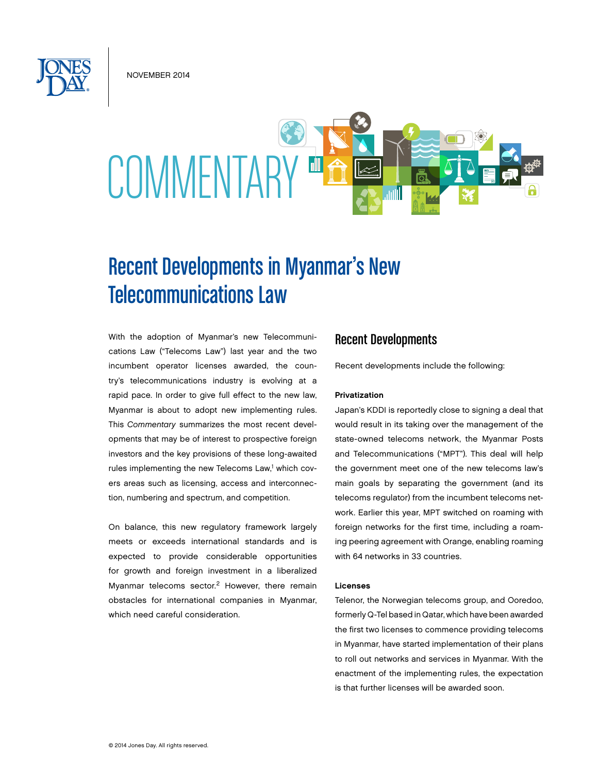November 2014



# Recent Developments in Myanmar's New Telecommunications Law

With the adoption of Myanmar's new Telecommunications Law ("Telecoms Law") last year and the two incumbent operator licenses awarded, the country's telecommunications industry is evolving at a rapid pace. In order to give full effect to the new law, Myanmar is about to adopt new implementing rules. This *Commentary* summarizes the most recent developments that may be of interest to prospective foreign investors and the key provisions of these long-awaited rules implementing the new Telecoms Law,<sup>1</sup> which covers areas such as licensing, access and interconnection, numbering and spectrum, and competition.

On balance, this new regulatory framework largely meets or exceeds international standards and is expected to provide considerable opportunities for growth and foreign investment in a liberalized Myanmar telecoms sector.2 However, there remain obstacles for international companies in Myanmar, which need careful consideration.

# Recent Developments

Recent developments include the following:

### Privatization

Japan's KDDI is reportedly close to signing a deal that would result in its taking over the management of the state-owned telecoms network, the Myanmar Posts and Telecommunications ("MPT"). This deal will help the government meet one of the new telecoms law's main goals by separating the government (and its telecoms regulator) from the incumbent telecoms network. Earlier this year, MPT switched on roaming with foreign networks for the first time, including a roaming peering agreement with Orange, enabling roaming with 64 networks in 33 countries.

### Licenses

Telenor, the Norwegian telecoms group, and Ooredoo, formerly Q-Tel based in Qatar, which have been awarded the first two licenses to commence providing telecoms in Myanmar, have started implementation of their plans to roll out networks and services in Myanmar. With the enactment of the implementing rules, the expectation is that further licenses will be awarded soon.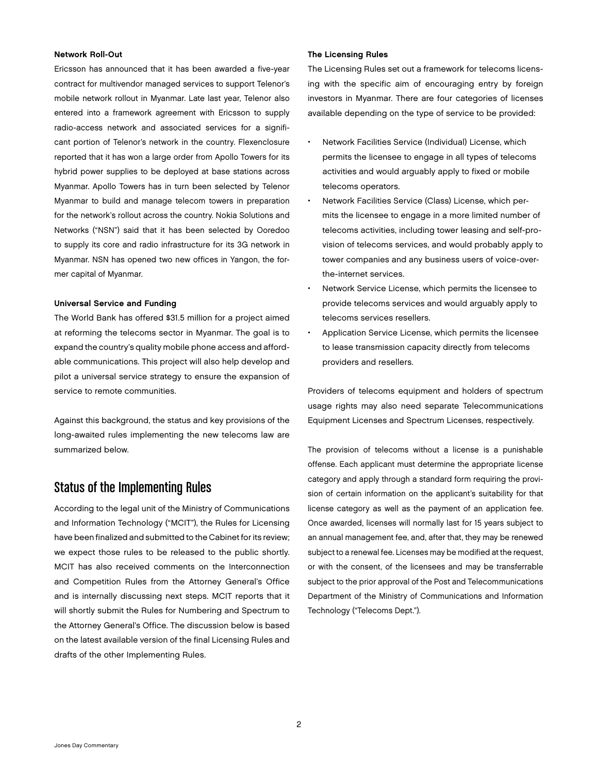### Network Roll-Out

Ericsson has announced that it has been awarded a five-year contract for multivendor managed services to support Telenor's mobile network rollout in Myanmar. Late last year, Telenor also entered into a framework agreement with Ericsson to supply radio-access network and associated services for a significant portion of Telenor's network in the country. Flexenclosure reported that it has won a large order from Apollo Towers for its hybrid power supplies to be deployed at base stations across Myanmar. Apollo Towers has in turn been selected by Telenor Myanmar to build and manage telecom towers in preparation for the network's rollout across the country. Nokia Solutions and Networks ("NSN") said that it has been selected by Ooredoo to supply its core and radio infrastructure for its 3G network in Myanmar. NSN has opened two new offices in Yangon, the former capital of Myanmar.

## Universal Service and Funding

The World Bank has offered \$31.5 million for a project aimed at reforming the telecoms sector in Myanmar. The goal is to expand the country's quality mobile phone access and affordable communications. This project will also help develop and pilot a universal service strategy to ensure the expansion of service to remote communities.

Against this background, the status and key provisions of the long-awaited rules implementing the new telecoms law are summarized below.

# Status of the Implementing Rules

According to the legal unit of the Ministry of Communications and Information Technology ("MCIT"), the Rules for Licensing have been finalized and submitted to the Cabinet for its review; we expect those rules to be released to the public shortly. MCIT has also received comments on the Interconnection and Competition Rules from the Attorney General's Office and is internally discussing next steps. MCIT reports that it will shortly submit the Rules for Numbering and Spectrum to the Attorney General's Office. The discussion below is based on the latest available version of the final Licensing Rules and drafts of the other Implementing Rules.

## The Licensing Rules

The Licensing Rules set out a framework for telecoms licensing with the specific aim of encouraging entry by foreign investors in Myanmar. There are four categories of licenses available depending on the type of service to be provided:

- Network Facilities Service (Individual) License, which permits the licensee to engage in all types of telecoms activities and would arguably apply to fixed or mobile telecoms operators.
- Network Facilities Service (Class) License, which permits the licensee to engage in a more limited number of telecoms activities, including tower leasing and self-provision of telecoms services, and would probably apply to tower companies and any business users of voice-overthe-internet services.
- Network Service License, which permits the licensee to provide telecoms services and would arguably apply to telecoms services resellers.
- Application Service License, which permits the licensee to lease transmission capacity directly from telecoms providers and resellers.

Providers of telecoms equipment and holders of spectrum usage rights may also need separate Telecommunications Equipment Licenses and Spectrum Licenses, respectively.

The provision of telecoms without a license is a punishable offense. Each applicant must determine the appropriate license category and apply through a standard form requiring the provision of certain information on the applicant's suitability for that license category as well as the payment of an application fee. Once awarded, licenses will normally last for 15 years subject to an annual management fee, and, after that, they may be renewed subject to a renewal fee. Licenses may be modified at the request, or with the consent, of the licensees and may be transferrable subject to the prior approval of the Post and Telecommunications Department of the Ministry of Communications and Information Technology ("Telecoms Dept.").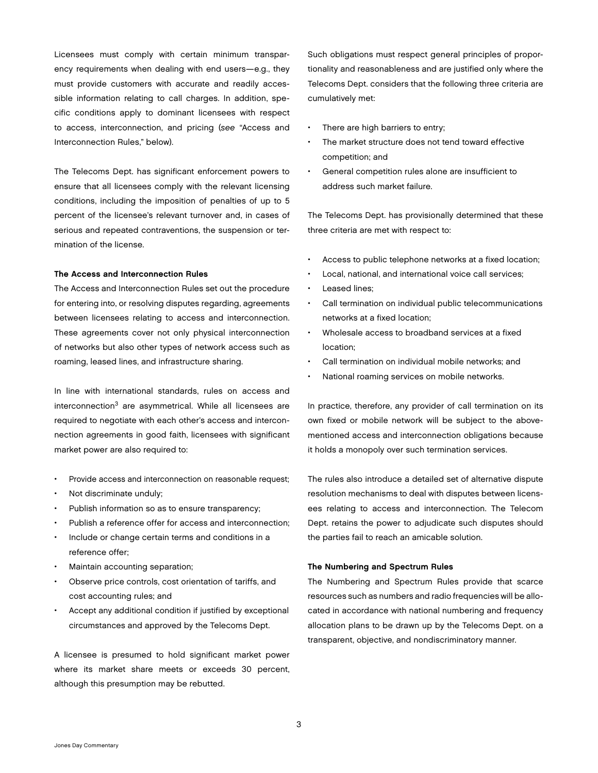Licensees must comply with certain minimum transparency requirements when dealing with end users—e.g., they must provide customers with accurate and readily accessible information relating to call charges. In addition, specific conditions apply to dominant licensees with respect to access, interconnection, and pricing (*see* "Access and Interconnection Rules," below).

The Telecoms Dept. has significant enforcement powers to ensure that all licensees comply with the relevant licensing conditions, including the imposition of penalties of up to 5 percent of the licensee's relevant turnover and, in cases of serious and repeated contraventions, the suspension or termination of the license.

# The Access and Interconnection Rules

The Access and Interconnection Rules set out the procedure for entering into, or resolving disputes regarding, agreements between licensees relating to access and interconnection. These agreements cover not only physical interconnection of networks but also other types of network access such as roaming, leased lines, and infrastructure sharing.

In line with international standards, rules on access and interconnection<sup>3</sup> are asymmetrical. While all licensees are required to negotiate with each other's access and interconnection agreements in good faith, licensees with significant market power are also required to:

- Provide access and interconnection on reasonable request;
- Not discriminate unduly;
- Publish information so as to ensure transparency;
- Publish a reference offer for access and interconnection;
- Include or change certain terms and conditions in a reference offer;
- Maintain accounting separation;
- Observe price controls, cost orientation of tariffs, and cost accounting rules; and
- Accept any additional condition if justified by exceptional circumstances and approved by the Telecoms Dept.

A licensee is presumed to hold significant market power where its market share meets or exceeds 30 percent, although this presumption may be rebutted.

Such obligations must respect general principles of proportionality and reasonableness and are justified only where the Telecoms Dept. considers that the following three criteria are cumulatively met:

- There are high barriers to entry;
- The market structure does not tend toward effective competition; and
- • General competition rules alone are insufficient to address such market failure.

The Telecoms Dept. has provisionally determined that these three criteria are met with respect to:

- Access to public telephone networks at a fixed location;
- Local, national, and international voice call services:
- Leased lines:
- Call termination on individual public telecommunications networks at a fixed location;
- Wholesale access to broadband services at a fixed location;
- Call termination on individual mobile networks; and
- National roaming services on mobile networks.

In practice, therefore, any provider of call termination on its own fixed or mobile network will be subject to the abovementioned access and interconnection obligations because it holds a monopoly over such termination services.

The rules also introduce a detailed set of alternative dispute resolution mechanisms to deal with disputes between licensees relating to access and interconnection. The Telecom Dept. retains the power to adjudicate such disputes should the parties fail to reach an amicable solution.

#### The Numbering and Spectrum Rules

The Numbering and Spectrum Rules provide that scarce resources such as numbers and radio frequencies will be allocated in accordance with national numbering and frequency allocation plans to be drawn up by the Telecoms Dept. on a transparent, objective, and nondiscriminatory manner.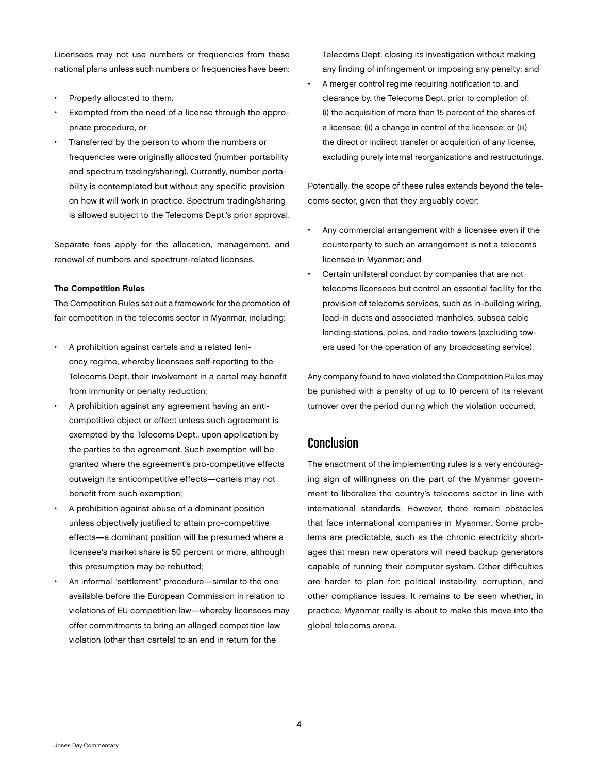Licensees may not use numbers or frequencies from these national plans unless such numbers or frequencies have been:

- Properly allocated to them,
- Exempted from the need of a license through the appropriate procedure, or
- Transferred by the person to whom the numbers or frequencies were originally allocated (number portability and spectrum trading/sharing). Currently, number portability is contemplated but without any specific provision on how it will work in practice. Spectrum trading/sharing is allowed subject to the Telecoms Dept.'s prior approval.

Separate fees apply for the allocation, management, and renewal of numbers and spectrum-related licenses.

# The Competition Rules

The Competition Rules set out a framework for the promotion of fair competition in the telecoms sector in Myanmar, including:

- A prohibition against cartels and a related leniency regime, whereby licensees self-reporting to the Telecoms Dept. their involvement in a cartel may benefit from immunity or penalty reduction;
- A prohibition against any agreement having an anticompetitive object or effect unless such agreement is exempted by the Telecoms Dept., upon application by the parties to the agreement. Such exemption will be granted where the agreement's pro-competitive effects outweigh its anticompetitive effects—cartels may not benefit from such exemption;
- A prohibition against abuse of a dominant position unless objectively justified to attain pro-competitive effects—a dominant position will be presumed where a licensee's market share is 50 percent or more, although this presumption may be rebutted;
- An informal "settlement" procedure—similar to the one available before the European Commission in relation to violations of EU competition law—whereby licensees may offer commitments to bring an alleged competition law violation (other than cartels) to an end in return for the

Telecoms Dept. closing its investigation without making any finding of infringement or imposing any penalty; and

A merger control regime requiring notification to, and clearance by, the Telecoms Dept. prior to completion of: (i) the acquisition of more than 15 percent of the shares of a licensee; (ii) a change in control of the licensee; or (iii) the direct or indirect transfer or acquisition of any license, excluding purely internal reorganizations and restructurings.

Potentially, the scope of these rules extends beyond the telecoms sector, given that they arguably cover:

- Any commercial arrangement with a licensee even if the counterparty to such an arrangement is not a telecoms licensee in Myanmar; and
- Certain unilateral conduct by companies that are not telecoms licensees but control an essential facility for the provision of telecoms services, such as in-building wiring, lead-in ducts and associated manholes, subsea cable landing stations, poles, and radio towers (excluding towers used for the operation of any broadcasting service).

Any company found to have violated the Competition Rules may be punished with a penalty of up to 10 percent of its relevant turnover over the period during which the violation occurred.

# Conclusion

The enactment of the implementing rules is a very encouraging sign of willingness on the part of the Myanmar government to liberalize the country's telecoms sector in line with international standards. However, there remain obstacles that face international companies in Myanmar. Some problems are predictable, such as the chronic electricity shortages that mean new operators will need backup generators capable of running their computer system. Other difficulties are harder to plan for: political instability, corruption, and other compliance issues. It remains to be seen whether, in practice, Myanmar really is about to make this move into the global telecoms arena.